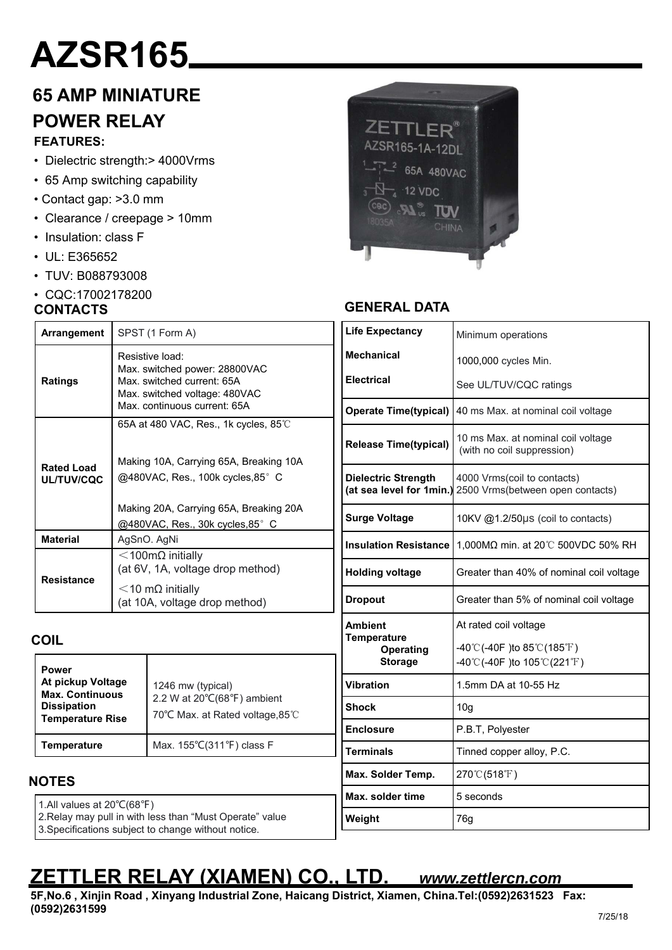# **AZSR165**

### **65 AMP MINIATURE POWER RELAY**

### **FEATURES:**

- Dielectric strength:> 4000Vrms
- 65 Amp switching capability
- Contact gap: >3.0 mm
- Clearance / creepage > 10mm

**Arrangement** SPST (1 Form A)

**Material** AgSnO. AgNi

Resistive load:

Max. switched power: 28800VAC Max. switched current: 65A Max. switched voltage: 480VAC Max. continuous current: 65A

65A at 480 VAC, Res., 1k cycles, 85℃

Making 10A, Carrying 65A, Breaking 10A @480VAC, Res., 100k cycles, 85°C

Making 20A, Carrying 65A, Breaking 20A @480VAC, Res., 30k cycles,85°C

(at 6V, 1A, voltage drop method)

(at 10A, voltage drop method)

- Insulation: class F
- UL: E365652
- TUV: B088793008
- CQC:17002178200

#### **CONTACTS**

**Ratings**

**Rated Load UL/TUV/CQC**

**Resistance**



### **GENERAL DATA**

| Minimum operations                                                                           |  |  |
|----------------------------------------------------------------------------------------------|--|--|
| 1000,000 cycles Min.                                                                         |  |  |
| See UL/TUV/CQC ratings                                                                       |  |  |
| 40 ms Max. at nominal coil voltage                                                           |  |  |
| 10 ms Max. at nominal coil voltage<br>(with no coil suppression)                             |  |  |
| 4000 Vrms(coil to contacts)<br>(at sea level for 1min.)<br>2500 Vrms(between open contacts)  |  |  |
| 10KV @1.2/50µs (coil to contacts)                                                            |  |  |
| 1,000MΩ min. at 20℃ 500VDC 50% RH                                                            |  |  |
| Greater than 40% of nominal coil voltage                                                     |  |  |
| Greater than 5% of nominal coil voltage                                                      |  |  |
| At rated coil voltage                                                                        |  |  |
| $-40^{\circ}$ C(-40F) to 85 $^{\circ}$ C(185 $^{\circ}$ F)                                   |  |  |
| $-40^{\circ}$ C(-40F) to $105^{\circ}$ C(221 <sup>°</sup> F)                                 |  |  |
| 1.5mm DA at 10-55 Hz                                                                         |  |  |
| 10 <sub>g</sub>                                                                              |  |  |
| P.B.T, Polyester                                                                             |  |  |
| Tinned copper alloy, P.C.                                                                    |  |  |
| 270℃(518°F)                                                                                  |  |  |
| 5 seconds                                                                                    |  |  |
| 76g                                                                                          |  |  |
| <b>Operate Time(typical)</b><br><b>Release Time(typical)</b><br><b>Insulation Resistance</b> |  |  |

### **COIL**

| Power<br>At pickup Voltage<br><b>Max. Continuous</b><br><b>Dissipation</b><br><b>Temperature Rise</b> | 1246 mw (typical)<br>2.2 W at 20°C(68°F) ambient<br>70°C Max. at Rated voltage, 85℃ |
|-------------------------------------------------------------------------------------------------------|-------------------------------------------------------------------------------------|
| Temperature                                                                                           | Max. 155°C(311°F) class F                                                           |

<100mΩ initially

<10 mΩ initially

### **NOTES**

1.All values at 20℃(68℉)

2.Relay may pull in with less than "Must Operate" value

3.Specifications subject to change without notice.

### **ZETTLER RELAY (XIAMEN) CO., LTD.** *www.zettlercn.com*

**5F,No.6 , Xinjin Road , Xinyang Industrial Zone, Haicang District, Xiamen, China.Tel:(0592)2631523 Fax: (0592)2631599**